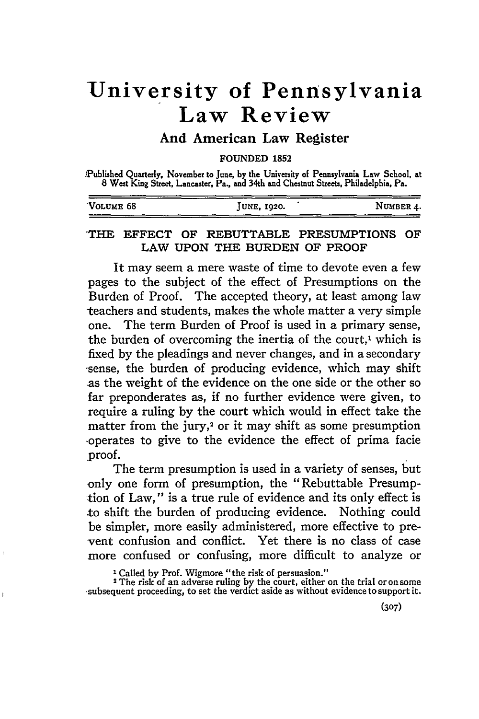## **University of Pennsylvania Law Review**

## **And American Law Register**

**FOUNDED 1852**

'Published Quarterly, November to June, **by** the University of Pennsylvania Law School, at **8** West King Street, Lancaster, Pa., and 34th and Chestnut Streets, Philadelphia, Pa.

|                      |             | .         |
|----------------------|-------------|-----------|
| VOLUME <sub>68</sub> | JUNE, 1920. | NUMBER 4. |
|                      |             |           |

## 1'HE **EFFECT** OF REBUTTABLE PRESUMPTIONS OF LAW **UPON** THE **BURDEN** OF PROOF

It may seem a mere waste of time to devote even a few pages to the subject of the effect of Presumptions on the Burden of Proof. The accepted theory, at least among law teachers and students, makes the whole matter a very simple one. The term Burden of Proof is used in a primary sense, the burden of overcoming the inertia of the court,<sup>1</sup> which is fixed by the pleadings and never changes, and in a secondary -sense, the burden of producing evidence, which may shift as the weight of the evidence on the one side or the other so far preponderates as, if no further evidence were given, to require a ruling by the court which would in effect take the matter from the jury, $2$  or it may shift as some presumption -operates to give to the evidence the effect of prima facie proof.

The term presumption is used in a variety of senses, but only one form of presumption, the "Rebuttable Presumption of Law," is a true rule of evidence and its only effect is to shift the burden of producing evidence. Nothing could be simpler, more easily administered, more effective to prevent confusion and conflict. Yet there is no class of case more confused or confusing, more difficult to analyze or

**<sup>1</sup>**Called **by** Prof. Wigmore "the risk of persuasion."

ł

<sup>2</sup> The risk of an adverse ruling **by** the court, either on the trial or on some subsequent proceeding, to set the verdict aside as without evidence to support it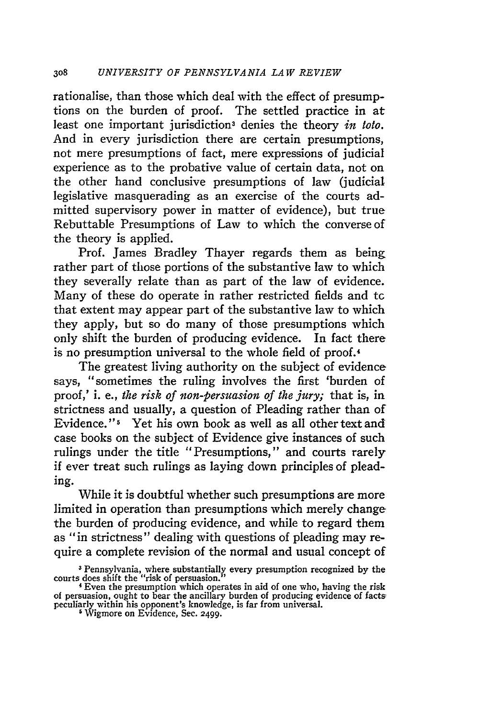rationalise, than those which deal with the effect of presumptions on the burden of proof. The settled practice in at least one important jurisdiction<sup>3</sup> denies the theory *in toto*. And in every jurisdiction there are certain presumptions, not mere presumptions of fact, mere expressions of judicial experience as to the probative value of certain data, not on the other hand conclusive presumptions of law (judicial legislative masquerading as an exercise of the courts admitted supervisory power in matter of evidence), but true Rebuttable Presumptions of Law to which the converse of the theory is applied.

Prof. James Bradley Thayer regards them as being rather part of those portions of the substantive law to which they severally relate than as part of the law of evidence. Many of these do operate in rather restricted fields and tc that extent may appear part of the substantive law to which they apply, but so do many of those presumptions which only shift the burden of producing evidence. In fact there is no presumption universal to the whole field of proof.<sup>4</sup>

The greatest living authority on the subject of evidence says, "sometimes the ruling involves the first 'burden of proof,' i. e., *the risk of non-persuasion of the jury;* that is, in strictness and usually, a question of Pleading rather than of Evidence.'' 5 Yet his own book as well as all other text and case books on the subject of Evidence give instances of such rulings under the title "Presumptions," and courts rarely if ever treat such rulings as laying down principles of pleading.

While it is doubtful whether such presumptions are more limited in operation than presumptions which merely change the burden of producing evidence, and while to regard them as "in strictness" dealing with questions of pleading may require a complete revision of the normal and usual concept of

<sup>&</sup>lt;sup>3</sup> Pennsylvania, where substantially every presumption recognized by the courts does shift the "risk of persuasion."<br>
<sup>4</sup> Even the presumption which operates in aid of one who, having the risk

of persuasion, ought to bear the ancillary burden of producing evidence of facts: peculiarly within his opponent's knowledge, is far from universal. **5** Wigmore on Evidence, Sec. **2499.**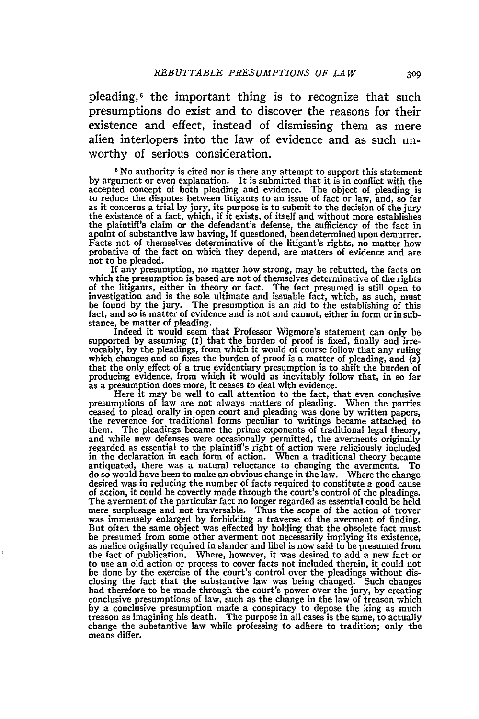pleading, 6 the important thing is to recognize that such presumptions do exist and to discover the reasons for their existence and effect, instead of dismissing them as mere alien interlopers into the law of evidence and as such unworthy of serious consideration.

**6** No authority is cited nor is there any attempt to support this statement by argument or even explanation. It is submitted that it is in conflict with the accepted concept of both pleading and evidence. The object of pleading is to reduce the disputes between litigants to an issue of fact or law, and, **so** far as it concerns a trial by jury, its purpose is to submit to the decision of the jury the existence of a fact, which, if it exists, of itself and without more establishes the plaintiff's claim or the defendant's defense, the sufficiency of the fact in apoint of substantive law having, if questioned, been determined upon demurrer. Facts not of themselves determinative of the litigant's rights, no matter how probative of the fact on which they depend, are matters of evidence and are not to be pleaded.

If any presumption, no matter how strong, may be rebutted, the facts on which the presumption is based are not of themselves determinative of the rights **of** the litigants, either in theory or fact. The fact presumed is still open to investigation and is the sole ultimate and issuable fact, which, as such, must be found by the jury. The presumption is an aid to the establishing of this fact, and so is matter of evidence and is not and cannot, either in form or in substance, be matter of pleading. Indeed it would seem that Professor Wigmore's statement can only be-

supported by assuming (I) that the burden of proof is fixed, finally and irre-vocably, by the pleadings, from which it would of course follow that any ruling which changes and so fixes the burden of proof is a matter of pleading, and (2) that the only effect of a true evidentiary presumption is to shift the burden of producing evidence, from which it would as inevitably follow that, in so far as a presumption does more, it ceases to deal with evidence.

Here it may be well to call attention to the fact, that even conclusive presumptions of law are not always matters of pleading. When the parties<br>ceased to plead orally in open court and pleading was done by written papers,<br>the reverence for traditional forms peculiar to writings became attache and while new defenses were occasionally permitted, the averments originally regarded as essential to the plaintiff's right of action were religiously included in the declaration in each form of action. When a traditional theory became antiquated, there was a natural reluctance to changing the averments. To do so would have been to make an obvious change in the law. Where the change desired was in reducing the number of facts required to constitute a good cause of action, it could be covertly made through the court's control of the pleadings. The averment of the particular fact no longer regarded as essential could be held mere surplusage and not traversable. Thus the scope of the action of trover was immensely enlarged by forbidding a traverse of the averment of finding. But often the same object was effected by holding that the obsolete fact must be presumed from some other averment not necessarily implying its existence, as malice originally required in slander and libel is now said to be presumed from the fact of publication. Where, however, it was desired to add a new fact or to use an old action or process to cover facts not included therein, it could not be done by the exercise of the court's control over the pleadings without dis-closing the fact that the substantive law was being changed. Such changes had therefore to be made through the court's power over the jury, by creating conclusive presumptions of law, such as the change in the law of treason which by a conclusive presumption made a conspiracy to depose the king as much treason as imagining his death. The purpose in all cases is the same, to actually change the substantive law while professing to adhere to tradition; only the means differ.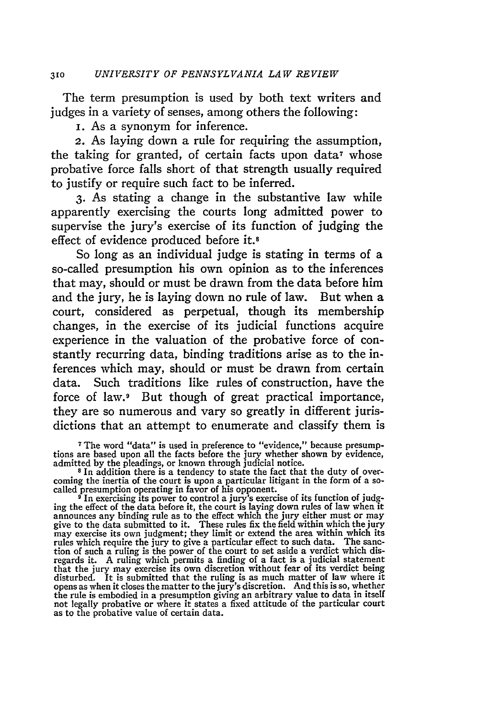The term presumption is used **by** both text writers and judges in a variety of senses, among others the following:

i. As a synonym for inference.

2. As laying down a rule for requiring the assumption, the taking for granted, of certain facts upon data<sup> $\tau$ </sup> whose probative force falls short of that strength usually required to justify or require such fact to be inferred.

**3.** As stating a change in the substantive law while apparently exercising the courts long admitted power to supervise the jury's exercise of its function of judging the effect of evidence produced before **it.8**

So long as an individual judge is stating in terms of a so-called presumption his own opinion as to the inferences that may, should or must be drawn from the data before him and the jury, he is laying down no rule of law. But when a court, considered as perpetual, though its membership changes, in the exercise of its judicial functions acquire experience in the valuation of the probative force of constantly recurring data, binding traditions arise as to the inferences which may, should or must be drawn from certain data. Such traditions like rules of construction, have the force of law.<sup>9</sup> But though of great practical importance, they are so numerous and vary so greatly in different jurisdictions that an attempt to enumerate and classify them is

**7** The word "data" is used in preference to "evidence," because presump-tions are based upon all the facts before the jury whether shown **by** evidence,

admitted by the pleadings, or known through judicial notice.<br><sup>8</sup> In addition there is a tendency to state the fact that the duty of over-<br>coming the inertia of the court is upon a particular litigant in the form of a so-

called presumption operating in favor of his opponent.<br>
<sup>9</sup> In exercising its power to control a jury's exercise of its function of judg-<br>
ing the effect of the data before it, the court is laying down rules of law when it rules which require the jury to give a particular effect to such data. The sanction of such a ruling is the power of the court to set aside a verdict which dis-<br>regards it. A ruling which permits a finding of a fact is a j disturbed. It is submitted that the ruling is as much matter of law where it opens as when it closes the matter to the jury's discretion. And this is so, whether the rule is embodied in a presumption giving an arbitrary value to data in itself not legally probative or where it states a fixed attitude of the particular court as to the probative value of certain data.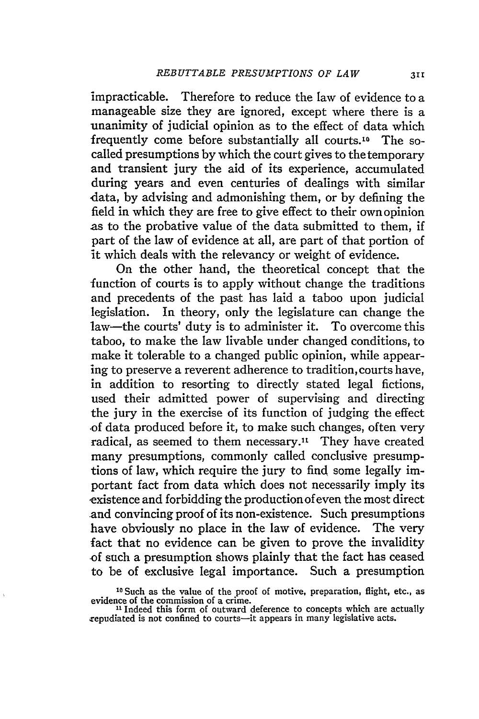impracticable. Therefore to reduce the law of evidence to a manageable size they are ignored, except where there is a unanimity of judicial opinion as to the effect of data which frequently come before substantially all courts.<sup>10</sup> The socalled presumptions by which the court gives to the temporary and transient jury the aid of its experience, accumulated during years and even centuries of dealings with similar data, by advising and admonishing them, or by defining the field in which they are free to give effect to their own opinion as to the probative value of the data submitted to them, if part of the law of evidence at all, are part of that portion of it which deals with the relevancy or weight of evidence.

On the other hand, the theoretical concept that the function of courts is to apply without change the traditions and precedents of the past has laid a taboo upon judicial legislation. In theory, only the legislature can change the law-the courts' duty is to administer it. To overcome this taboo, to make the law livable under changed conditions, to make it tolerable to a changed public opinion, while appearing to preserve a reverent adherence to tradition, courts have, in addition to resorting to directly stated legal fictions, used their admitted power of supervising and directing the jury in the exercise of its function of judging the effect of data produced before it, to make such changes, often very radical, as seemed to them necessary."' They have created many presumptions, commonly called conclusive presumptions of law, which require the jury to find some legally important fact from data which does not necessarily imply its existence and forbidding the production of even the most direct and convincing proof of its non-existence. Such presumptions have obviously no place in the law of evidence. The very fact that no evidence can be given to prove the invalidity -of such a presumption shows plainly that the fact has ceased to be of exclusive legal importance. Such a presumption

<sup>&</sup>lt;sup>10</sup> Such as the value of the proof of motive, preparation, flight, etc., as<br>evidence of the commission of a crime.<br><sup>11</sup> Indeed this form of outward deference to concepts which are actually

repudiated is not confined to courts-it appears in many legislative acts.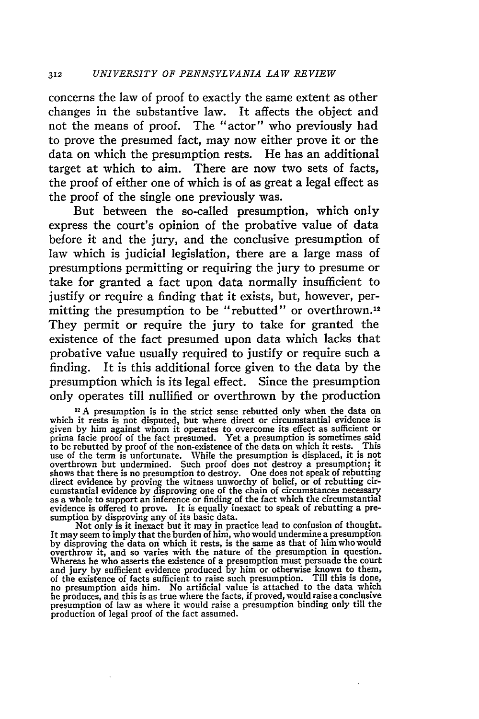concerns the law of proof to exactly the same extent as other changes in the substantive law. It affects the object and not the means of proof. The "actor" who previously had to prove the presumed fact, may now either prove it or the data on which the presumption rests. He has an additional target at which to aim. There are now two sets of facts, the proof of either one of which is of as great a legal effect as the proof of the single one previously was.

But between the so-called presumption, which only express the court's opinion of the probative value of data before it and the jury, and the conclusive presumption of law which is judicial legislation, there are a large mass of presumptions permitting or requiring the jury to presume or take for granted a fact upon data normally insufficient to justify or require a finding that it exists, but, however, permitting the presumption to be "rebutted" or overthrown.12 They permit or require the jury to take for granted the existence of the fact presumed upon data which lacks that probative value usually required to justify or require such a finding. It is this additional force given to the data by the presumption which is its legal effect. Since the presumption only operates till nullified or overthrown by the production

sumption by disproving any of its basic data.<br>Not only is it inexact but it may in practice lead to confusion of thought.<br>It may seem to imply that the burden of him, who would undermine a presumption by disproving the data on which it rests, is the same as that of him who would overthrow it, and so varies with the nature of the presumption in question. Whereas he who asserts the existence of a presumption must persuade the court and jury by sufficient evidence produced by him or otherwise known to them, of the existence of facts sufficient to raise such presumption. Till this is done, no presumption aids him. No artificial value is attached to the data which he produces, and this is as true where the facts, if proved, wou presumption of law as where it would raise a presumption binding only till the production of legal proof of the fact assumed.

**<sup>1</sup>A** presumption is in the strict sense rebutted only when the data on which it rests is not disputed, but where direct or circumstantial evidence is given by him against whom it operates to overcome its effect as sufficient or prima facie proof of the fact presumed. Yet a presumption is sometimes said to be rebutted by proof of the non-existence of the data on which it rests. This use of the term is unfortunate. While the presumption is displace overthrown but undermined. Such proof does not destroy a presumption; it<br>shows that there is no presumption to destroy. One does not speak of rebutting<br>direct evidence by proving the witness unworthy of belief, or of rebut cumstantial evidence by disproving one of the chain of circumstances necessary as a whole to support an inference or finding of the fact which the circumstantial evidence is offered to prove. It is equally inexact to speak of rebutting a pre-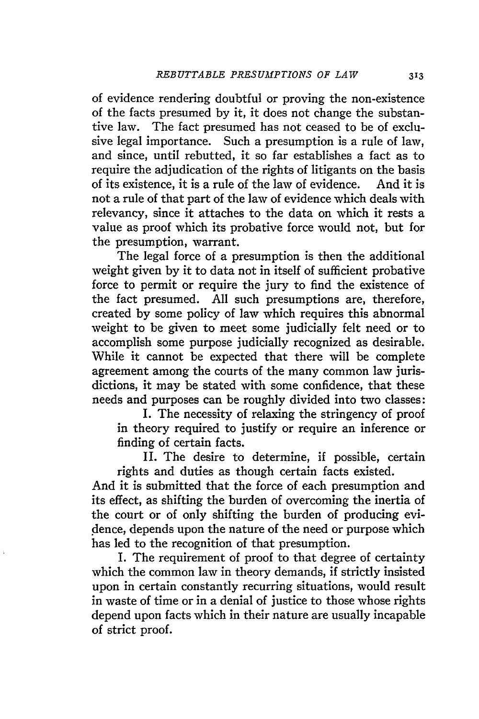of evidence rendering doubtful or proving the non-existence of the facts presumed by it, it does not change the substantive law. The fact presumed has not ceased to be of exclusive legal importance. Such a presumption is a rule of law, and since, until rebutted, it so far establishes a fact as to require the adjudication of the rights of litigants on the basis of its existence, it is a rule of the law of evidence. And it is not a rule of that part of the law of evidence which deals with relevancy, since it attaches to the data on which it rests a value as proof which its probative force would not, but for the presumption, warrant.

The legal force of a presumption is then the additional weight given by it to data not in itself of sufficient probative force to permit or require the jury to find the existence of the fact presumed. All such presumptions are, therefore, created by some policy of law which requires this abnormal weight to be given to meet some judicially felt need or to accomplish some purpose judicially recognized as desirable. While it cannot be expected that there will be complete agreement among the courts of the many common law jurisdictions, it may be stated with some confidence, that these needs and purposes can be roughly divided into two classes:

I. The necessity of relaxing the stringency of proof in theory required to justify or require an inference or finding of certain facts.

II. The desire to determine, if possible, certain rights and duties as though certain facts existed.

And it is submitted that the force of each presumption and its effect, as shifting the burden of overcoming the inertia of the court or of only shifting the burden of producing evidence, depends upon the nature of the need or purpose which has led to the recognition of that presumption.

I. The requirement of proof to that degree of certainty which the common law in theory demands, if strictly insisted upon in certain constantly recurring situations, would result in waste of time or in a denial of justice to those whose rights depend upon facts which in their nature are usually incapable of strict proof.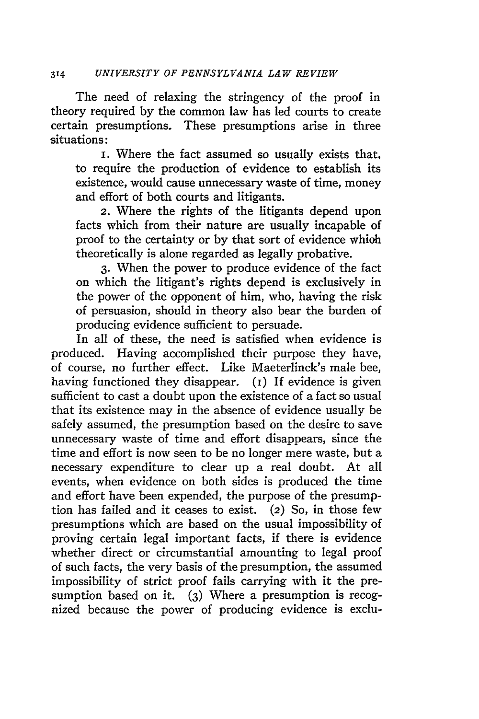The need of relaxing the stringency of the proof in theory required by the common law has led courts to create certain presumptions. These presumptions arise in three situations:

i. Where the fact assumed so usually exists that, to require the production of evidence to establish its existence, would cause unnecessary waste of time, money and effort of both courts and litigants.

2. Where the rights of the litigants depend upon facts which from their nature are usually incapable of proof to the certainty or by that sort of evidence whioh theoretically is alone regarded as legally probative.

**3.** When the power to produce evidence of the fact on which the litigant's rights depend is exclusively in the power of the opponent of him, who, having the risk of persuasion, should in theory also bear the burden of producing evidence sufficient to persuade.

In all of these, the need is satisfied when evidence is produced. Having accomplished their purpose they have, of course, no further effect. Like Maeterlinck's male bee, having functioned they disappear. (I) If evidence is given sufficient to cast a doubt upon the existence of a fact so usual that its existence may in the absence of evidence usually be safely assumed, the presumption based on the desire to save unnecessary waste of time and effort disappears, since the time and effort is now seen to be no longer mere waste, but a necessary expenditure to clear up a real doubt. At all events, when evidence on both sides is produced the time and effort have been expended, the purpose of the presumption has failed and it ceases to exist. (2) So, in those few presumptions which are based on the usual impossibility of proving certain legal important facts, if there is evidence whether direct or circumstantial amounting to legal proof of such facts, the very basis of the presumption, the assumed impossibility of strict proof fails carrying with it the presumption based on it. **(3)** Where a presumption is recognized because the power of producing evidence is exclu-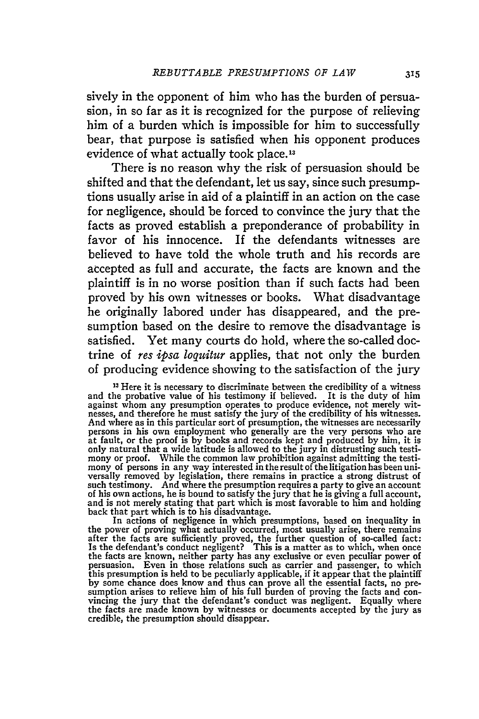sively in the opponent of him who has the burden of persuasion, in so far as it is recognized for the purpose of relieving him of a burden which is impossible for him to successfully bear, that purpose is satisfied when his opponent produces evidence of what actually took place.13

There is no reason why the risk of persuasion should be shifted and that the defendant, let us say, since such presumptions usually arise in aid of a plaintiff in an action on the case for negligence, should be forced to convince the jury that the facts as proved establish a preponderance of probability in favor of his innocence. If the defendants witnesses are believed to have told the whole truth and his records are accepted as full and accurate, the facts are known and the plaintiff is in no worse position than if such facts had been proved **by** his own witnesses or books. What disadvantage he originally labored under has disappeared, and the presumption based on the desire to remove the disadvantage is satisfied. Yet many courts do hold, where the so-called doctrine of *res ipsa loquitur* applies, that not only the burden of producing evidence showing to the satisfaction of the jury

**13** Here it is necessary to discriminate between the credibility of a witness and the probative value of his testimony if believed. It is the duty of him against whom any presumption operates to produce evidence, not merely witnesses, and therefore he must satisfy the jury of the credibility of his witnesses.<br>And where as in this particular sort of presumption, the witnesse persons in his own employment who generally are the very persons who are<br>at fault, or the proof is by books and records kept and produced by him, it is<br>only natural that a wide latitude is allowed to the jury in distrustin mony or proof. While the common law prohibition against admitting the testimony of persons in any way interested in the result of the litigation has been universally removed by legislation, there remains in practice a stro such testimony. And where the presumption requires a party to give an account<br>of his own actions, he is bound to satisfy the jury that he is giving a full account,<br>and is not merely stating that part which is most favorabl back that part which is to his disadvantage.

In actions of negligence in which presumptions, based on inequality in In actions of negligence in which presumptions, based on inequality in the power of proving what actually occurred, most usually arise, there remains after the facts are sufficiently proved, the further question of so-called fact: Is the defendant's conduct negligent? This is a matter as to which, when once the facts are known, neither party has any exclusive or even peculiar power of persuasion. Even in those relations such as carrier and passenger, to which this presumption is held to be peculiarly applicable, if it appear that the plaintiff by some chance does know and thus can prove all the essential facts, no pre-<br>sumption arises to relieve him of his full burden of proving the facts and con-<br>vincing the jury that the defendant's conduct was negligent. Equa the facts are made known by witnesses or documents accepted by the jury as credible, the presumption should disappear.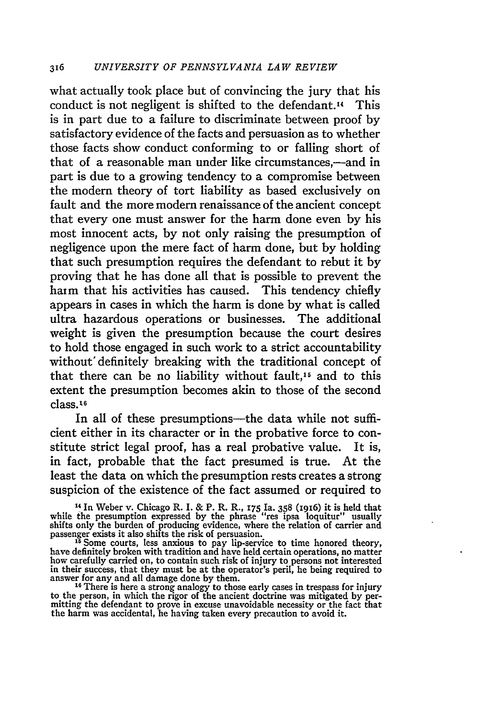what actually took place but of convincing the jury that his conduct is not negligent is shifted to the defendant.14 This is in part due to a failure to discriminate between proof by satisfactory evidence of the facts and persuasion as to whether those facts show conduct conforming to or falling short of that of a reasonable man under like circumstances,—and in part is due to a growing tendency to a compromise between the modem theory of tort liability as based exclusively on fault and the more modem renaissance of the ancient concept that every one must answer for the harm done even by his most innocent acts, by not only raising the presumption of negligence upon the mere fact of harm done, but by holding that such presumption requires the defendant to rebut it by proving that he has done all that is possible to prevent the harm that his activities has caused. This tendency chiefly appears in cases in which the harm is done by what is called ultra hazardous operations or businesses. The additional weight is given the presumption because the court desires to hold those engaged in such work to a strict accountability without' definitely breaking with the traditional concept of that there can be no liability without fault,<sup>15</sup> and to this extent the presumption becomes akin to those of the second class.16

In all of these presumptions—the data while not sufficient either in its character or in the probative force to constitute strict legal proof, has a real probative value. It is, in fact, probable that the fact presumed is true. At the least the data on which the presumption rests creates a strong suspicion of the existence of the fact assumed or required to

14 In Weber v. Chicago R. I. **&** P. R. R., **175** Ia. **358** (1916) it is held that while the presumption expressed by the phrase "res ipsa loquitur" usually shifts only the burden of producing evidence, where the relation of carrier and passenger exists it also shifts the risk of persuasion.<br><sup>15</sup>Some courts, less anxious to pay lip-service to time honored theory,

have definitely broken with tradition and have held certain operations, no matter<br>how carefully carried on, to contain such risk of injury to persons not interested<br>in their success, that they must be at the operator's pe

mitting the defendant to prove in excuse unavoidable necessity or the fact that the harm was accidental, he having taken every precaution to avoid it.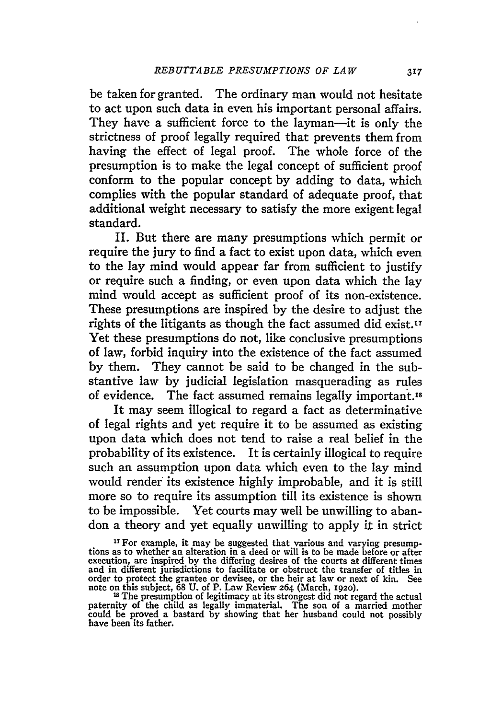be taken for granted. The ordinary man would not hesitate to act upon such data in even his important personal affairs. They have a sufficient force to the layman-it is only the strictness of proof legally required that prevents them from having the effect of legal proof. The whole force of the presumption is to make the legal concept of sufficient proof conform to the popular concept by adding to data, which complies with the popular standard of adequate proof, that additional weight necessary to satisfy the more exigent legal standard.

II. But there are many presumptions which permit or require the jury to find a fact to exist upon data, which even to the lay mind would appear far from sufficient to justify or require such a finding, or even upon data which the lay mind would accept as sufficient proof of its non-existence. These presumptions are inspired by the desire to adjust the rights of the litigants as though the fact assumed did exist.<sup>17</sup> Yet these presumptions do not, like conclusive presumptions of law, forbid inquiry into the existence of the fact assumed by them. They cannot be said to be changed in the substantive law by judicial legislation masquerading as rules of evidence. The fact assumed remains legally important.'s

It may seem illogical to regard a fact as determinative of legal rights and yet require it to be assumed as existing upon data which does not tend to raise a real belief in the probability of its existence. It is certainly illogical to require such an assumption upon data which even to the lay mind would render its existence highly improbable, and it is still more so to require its assumption till its existence is shown to be impossible. Yet courts may well be unwilling to abandon a theory and yet equally unwilling to apply it in strict

<sup>&</sup>lt;sup>17</sup> For example, it may be suggested that various and varying presumptions as to whether an alteration in a deed or will is to be made before or after execution, are inspired by the differing desires of the courts at different times and in different jurisdictions to facilitate or obstruct the transfer of titles in<br>order to protect the grantee or devisee, or the heir at law or next of kin. See<br>note on this subject, 68 U. of P. Law Review 264 (March, 19

could be proved a bastard by showing that her husband could not possibly have been its father.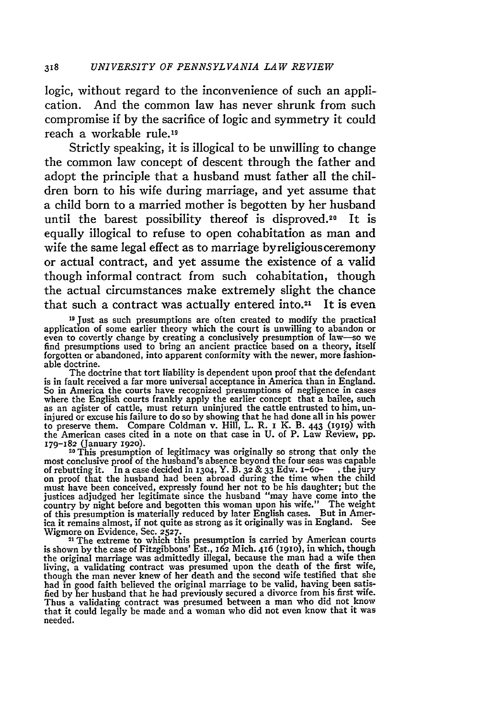logic, without regard to the inconvenience of such an application. And the common law has never shrunk from such compromise if by the sacrifice of logic and symmetry it could reach a workable rule.19

Strictly speaking, it is illogical to be unwilling to change the common law concept of descent through the father and adopt the principle that a husband must father all the children born to his wife during marriage, and yet assume that a child born to a married mother is begotten by her husband until the barest possibility thereof is disproved.20 It is equally illogical to refuse to open cohabitation as man and wife the same legal effect as to marriage byreligiousceremony or actual contract, and yet assume the existence of a valid though informal contract from such cohabitation, though the actual circumstances make extremely slight the chance that such a contract was actually entered into.<sup>21</sup> It is even

<sup>19</sup> Just as such presumptions are often created to modify the practical application of some earlier theory which the court is unwilling to abandon or<br>even to covertly change by creating a conclusively presumption of law—so we<br>find presumptions used to bring an ancient practice based on a theor forgotten or abandoned, into apparent conformity with the newer, more fashionable doctrine.

The doctrine that tort liability is dependent upon proof that the defendant is in fault received a far more universal acceptance in America than in England. So in America the courts have recognized presumptions of negligence in cases<br>where the English courts frankly apply the earlier concept that a bailee, such<br>as an agister of cattle, must return uninjured the cattle entruste to preserve them. Compare Coldman v. Hill, L. R. i K. B. 443 (i19) with the American cases cited in a note on that case in U. of P. Law Review, pp. **179-182** (January 1920). 20This presumption of legitimacy was originally so strong that only the

most conclusive proof of the husband's absence beyond the four seas was capable of rebutting it. In a case decided in **1304,** Y. B. **32** & 33 Edw. i-6o- , the jury on proof that the husband had been abroad during the time when the child must have been conceived, expressly found her not to be his daughter; but the justices adjudged her legitimate since the husband "may have come into the country by night before and begotten this woman upon his wife." The w Wigmore on Evidence, Sec. **2527. <sup>21</sup>**The extreme to which this presumption is carried by American courts

is shown by the case of Fitzgibbons' Est., 162 Mich. 416 (1910), in which, though<br>the original marriage was admittedly illegal, because the man had a wife then<br>living, a validating contract was presumed upon the death of Thus a validating contract was presumed between a man who did not know that it could legally be made and a woman who did not even know that it was needed.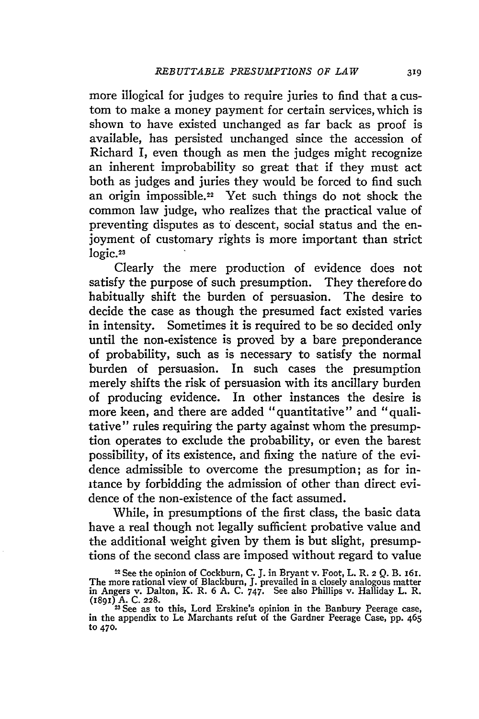more illogical for judges to require juries to find that a custom to make a money payment for certain services, which is shown to have existed unchanged as far back as proof is available, has persisted unchanged since the accession of Richard I, even though as men the judges might recognize an inherent improbability so great that if they must act both as judges and juries they would be forced to find such an origin impossible.22 Yet such things do not shock the common law judge, who realizes that the practical value of preventing disputes as to descent, social status and the enjoyment of customary rights is more important than strict logic.<sup>23</sup>

Clearly the mere production of evidence does not satisfy the purpose of such presumption. They therefore do habitually shift the burden of persuasion. The desire to decide the case as though the presumed fact existed varies in intensity. Sometimes it is required to be so decided only until the non-existence is proved by a bare preponderance of probability, such as is necessary to satisfy the normal burden of persuasion. In such cases the presumption merely shifts the risk of persuasion with its ancillary burden of producing evidence. In other instances the desire is more keen, and there are added "quantitative" and "qualitative" rules requiring the party against whom the presumption operates to exclude the probability, or even the barest possibility, of its existence, and fixing the nature of the evidence admissible to overcome the presumption; as for initance by forbidding the admission of other than direct evidence of the non-existence of the fact assumed.

While, in presumptions of the first class, the basic data have a real though not legally sufficient probative value and the additional weight given by them is but slight, presumptions of the second class are imposed without regard to value

<sup>22</sup> See the opinion of Cockburn, C. J. in Bryant v. Foot, L. R. 2 *Q.* B. 161. The more rational view of Blackburn, J. prevailed in a closely analogous matter<br>in Angers v. Dalton, K. R. 6 A. C. 747. See also Phillips v. Halliday L. R.<br>(1891) A. C. 228.<br><sup>22</sup> See as to this, Lord Erskine's opinion in t

to 470.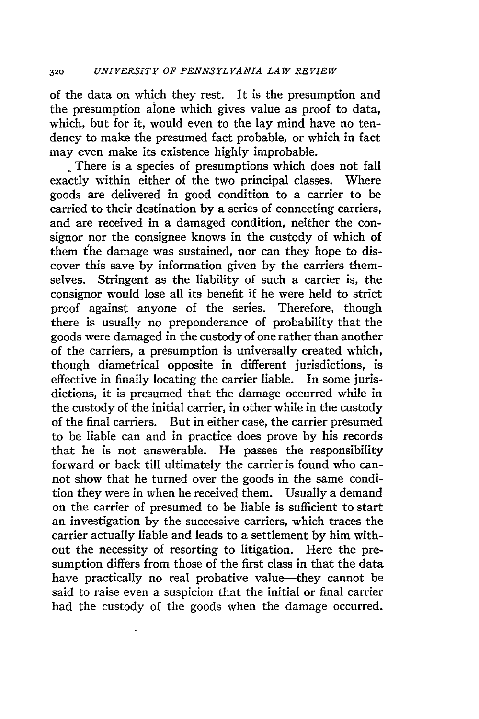of the data on which they rest. It is the presumption and the presumption alone which gives value as proof to data, which, but for it, would even to the lay mind have no tendency to make the presumed fact probable, or which in fact may even make its existence highly improbable.

There is a species of presumptions which does not fall exactly within either of the two principal classes. Where goods are delivered in good condition to a carrier to be carried to their destination by a series of connecting carriers, and are received in a damaged condition, neither the consignor nor the consignee knows in the custody of which of them the damage was sustained, nor can they hope to discover this save by information given by the carriers themselves. Stringent as the liability of such a carrier is, the consignor would lose all its benefit if he were held to strict proof against anyone of the series. Therefore, though there is usually no preponderance of probability that the goods were damaged in the custody of one rather than another of the carriers, a presumption is universally created which, though diametrical opposite in different jurisdictions, is effective in finally locating the carrier liable. In some jurisdictions, it is presumed that the damage occurred while in the custody of the initial carrier, in other while in the custody of the final carriers. But in either case, the carrier presumed to be liable can and in practice does prove by his records that he is not answerable. He passes the responsibility forward or back till ultimately the carrier is found who cannot show that he turned over the goods in the same condition they were in when he received them. Usually a demand on the carrier of presumed to be liable is sufficient to start an investigation by the successive carriers, which traces the carrier actually liable and leads to a settlement by him without the necessity of resorting to litigation. Here the presumption differs from those of the first class in that the data have practically no real probative value-they cannot be said to raise even a suspicion that the initial or final carrier had the custody of the goods when the damage occurred.